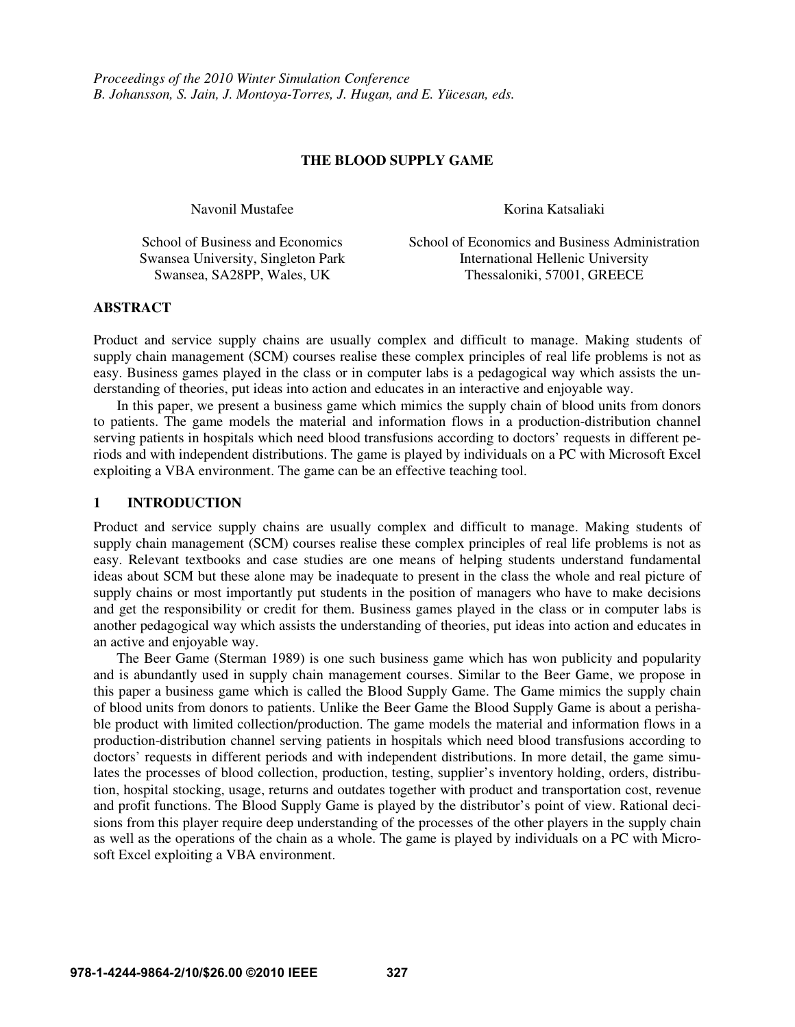# **THE BLOOD SUPPLY GAME**

Navonil Mustafee Korina Katsaliaki

School of Business and Economics School of Economics and Business Administration Swansea University, Singleton Park International Hellenic University Swansea, SA28PP, Wales, UK Thessaloniki, 57001, GREECE

## **ABSTRACT**

Product and service supply chains are usually complex and difficult to manage. Making students of supply chain management (SCM) courses realise these complex principles of real life problems is not as easy. Business games played in the class or in computer labs is a pedagogical way which assists the understanding of theories, put ideas into action and educates in an interactive and enjoyable way.

 In this paper, we present a business game which mimics the supply chain of blood units from donors to patients. The game models the material and information flows in a production-distribution channel serving patients in hospitals which need blood transfusions according to doctors' requests in different periods and with independent distributions. The game is played by individuals on a PC with Microsoft Excel exploiting a VBA environment. The game can be an effective teaching tool.

# **1 INTRODUCTION**

Product and service supply chains are usually complex and difficult to manage. Making students of supply chain management (SCM) courses realise these complex principles of real life problems is not as easy. Relevant textbooks and case studies are one means of helping students understand fundamental ideas about SCM but these alone may be inadequate to present in the class the whole and real picture of supply chains or most importantly put students in the position of managers who have to make decisions and get the responsibility or credit for them. Business games played in the class or in computer labs is another pedagogical way which assists the understanding of theories, put ideas into action and educates in an active and enjoyable way.

 The Beer Game (Sterman 1989) is one such business game which has won publicity and popularity and is abundantly used in supply chain management courses. Similar to the Beer Game, we propose in this paper a business game which is called the Blood Supply Game. The Game mimics the supply chain of blood units from donors to patients. Unlike the Beer Game the Blood Supply Game is about a perishable product with limited collection/production. The game models the material and information flows in a production-distribution channel serving patients in hospitals which need blood transfusions according to doctors' requests in different periods and with independent distributions. In more detail, the game simulates the processes of blood collection, production, testing, supplier's inventory holding, orders, distribution, hospital stocking, usage, returns and outdates together with product and transportation cost, revenue and profit functions. The Blood Supply Game is played by the distributor's point of view. Rational decisions from this player require deep understanding of the processes of the other players in the supply chain as well as the operations of the chain as a whole. The game is played by individuals on a PC with Microsoft Excel exploiting a VBA environment.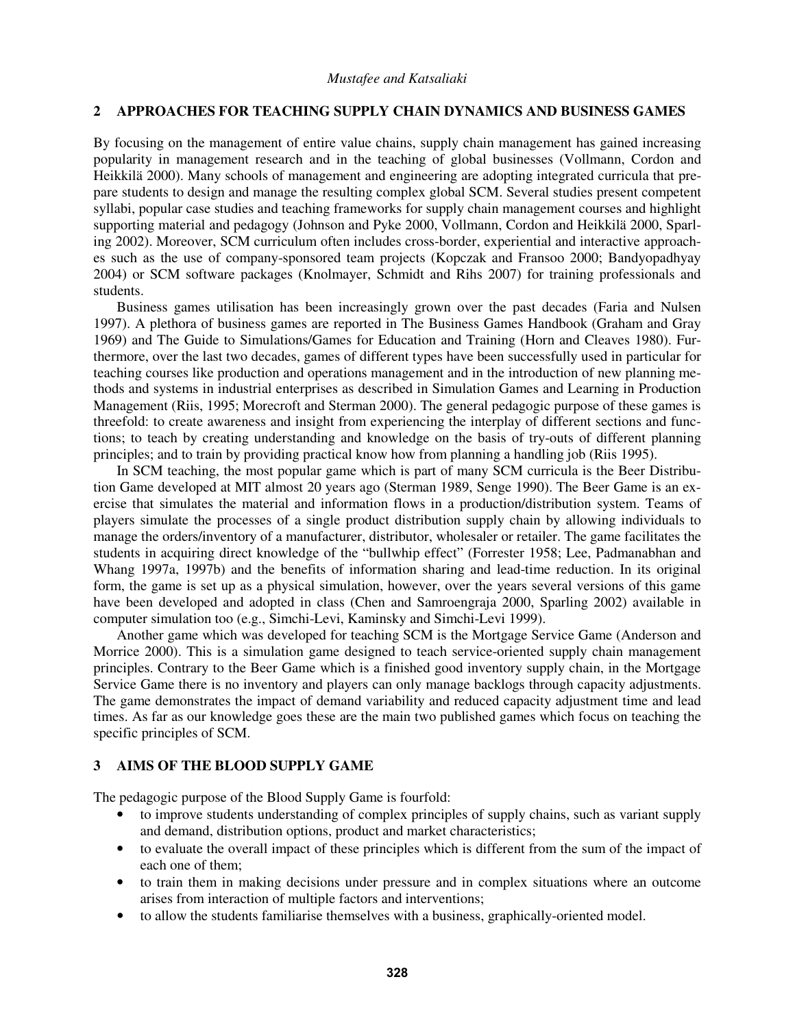# **2 APPROACHES FOR TEACHING SUPPLY CHAIN DYNAMICS AND BUSINESS GAMES**

By focusing on the management of entire value chains, supply chain management has gained increasing popularity in management research and in the teaching of global businesses (Vollmann, Cordon and Heikkilä 2000). Many schools of management and engineering are adopting integrated curricula that prepare students to design and manage the resulting complex global SCM. Several studies present competent syllabi, popular case studies and teaching frameworks for supply chain management courses and highlight supporting material and pedagogy (Johnson and Pyke 2000, Vollmann, Cordon and Heikkilä 2000, Sparling 2002). Moreover, SCM curriculum often includes cross-border, experiential and interactive approaches such as the use of company-sponsored team projects (Kopczak and Fransoo 2000; Bandyopadhyay 2004) or SCM software packages (Knolmayer, Schmidt and Rihs 2007) for training professionals and students.

 Business games utilisation has been increasingly grown over the past decades (Faria and Nulsen 1997). A plethora of business games are reported in The Business Games Handbook (Graham and Gray 1969) and The Guide to Simulations/Games for Education and Training (Horn and Cleaves 1980). Furthermore, over the last two decades, games of different types have been successfully used in particular for teaching courses like production and operations management and in the introduction of new planning methods and systems in industrial enterprises as described in Simulation Games and Learning in Production Management (Riis, 1995; Morecroft and Sterman 2000). The general pedagogic purpose of these games is threefold: to create awareness and insight from experiencing the interplay of different sections and functions; to teach by creating understanding and knowledge on the basis of try-outs of different planning principles; and to train by providing practical know how from planning a handling job (Riis 1995).

 In SCM teaching, the most popular game which is part of many SCM curricula is the Beer Distribution Game developed at MIT almost 20 years ago (Sterman 1989, Senge 1990). The Beer Game is an exercise that simulates the material and information flows in a production/distribution system. Teams of players simulate the processes of a single product distribution supply chain by allowing individuals to manage the orders/inventory of a manufacturer, distributor, wholesaler or retailer. The game facilitates the students in acquiring direct knowledge of the "bullwhip effect" (Forrester 1958; Lee, Padmanabhan and Whang 1997a, 1997b) and the benefits of information sharing and lead-time reduction. In its original form, the game is set up as a physical simulation, however, over the years several versions of this game have been developed and adopted in class (Chen and Samroengraja 2000, Sparling 2002) available in computer simulation too (e.g., Simchi-Levi, Kaminsky and Simchi-Levi 1999).

 Another game which was developed for teaching SCM is the Mortgage Service Game (Anderson and Morrice 2000). This is a simulation game designed to teach service-oriented supply chain management principles. Contrary to the Beer Game which is a finished good inventory supply chain, in the Mortgage Service Game there is no inventory and players can only manage backlogs through capacity adjustments. The game demonstrates the impact of demand variability and reduced capacity adjustment time and lead times. As far as our knowledge goes these are the main two published games which focus on teaching the specific principles of SCM.

# **3 AIMS OF THE BLOOD SUPPLY GAME**

The pedagogic purpose of the Blood Supply Game is fourfold:

- to improve students understanding of complex principles of supply chains, such as variant supply and demand, distribution options, product and market characteristics;
- to evaluate the overall impact of these principles which is different from the sum of the impact of each one of them;
- to train them in making decisions under pressure and in complex situations where an outcome arises from interaction of multiple factors and interventions;
- to allow the students familiarise themselves with a business, graphically-oriented model.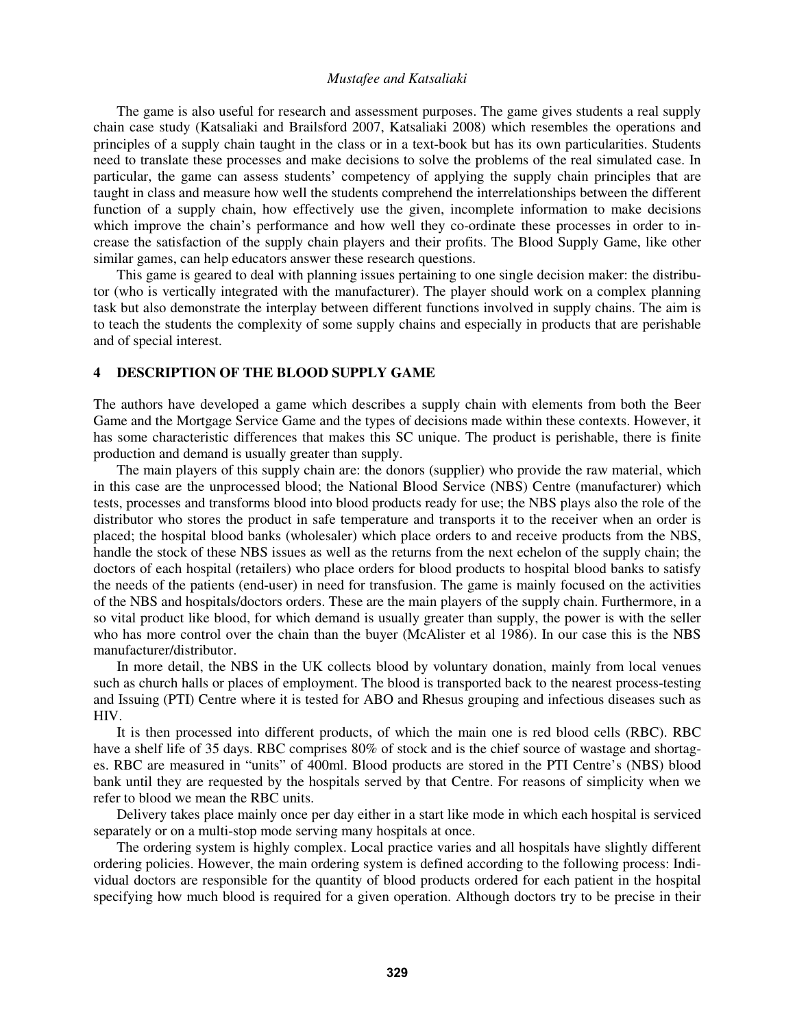The game is also useful for research and assessment purposes. The game gives students a real supply chain case study (Katsaliaki and Brailsford 2007, Katsaliaki 2008) which resembles the operations and principles of a supply chain taught in the class or in a text-book but has its own particularities. Students need to translate these processes and make decisions to solve the problems of the real simulated case. In particular, the game can assess students' competency of applying the supply chain principles that are taught in class and measure how well the students comprehend the interrelationships between the different function of a supply chain, how effectively use the given, incomplete information to make decisions which improve the chain's performance and how well they co-ordinate these processes in order to increase the satisfaction of the supply chain players and their profits. The Blood Supply Game, like other similar games, can help educators answer these research questions.

This game is geared to deal with planning issues pertaining to one single decision maker: the distributor (who is vertically integrated with the manufacturer). The player should work on a complex planning task but also demonstrate the interplay between different functions involved in supply chains. The aim is to teach the students the complexity of some supply chains and especially in products that are perishable and of special interest.

## **4 DESCRIPTION OF THE BLOOD SUPPLY GAME**

The authors have developed a game which describes a supply chain with elements from both the Beer Game and the Mortgage Service Game and the types of decisions made within these contexts. However, it has some characteristic differences that makes this SC unique. The product is perishable, there is finite production and demand is usually greater than supply.

 The main players of this supply chain are: the donors (supplier) who provide the raw material, which in this case are the unprocessed blood; the National Blood Service (NBS) Centre (manufacturer) which tests, processes and transforms blood into blood products ready for use; the NBS plays also the role of the distributor who stores the product in safe temperature and transports it to the receiver when an order is placed; the hospital blood banks (wholesaler) which place orders to and receive products from the NBS, handle the stock of these NBS issues as well as the returns from the next echelon of the supply chain; the doctors of each hospital (retailers) who place orders for blood products to hospital blood banks to satisfy the needs of the patients (end-user) in need for transfusion. The game is mainly focused on the activities of the NBS and hospitals/doctors orders. These are the main players of the supply chain. Furthermore, in a so vital product like blood, for which demand is usually greater than supply, the power is with the seller who has more control over the chain than the buyer (McAlister et al 1986). In our case this is the NBS manufacturer/distributor.

 In more detail, the NBS in the UK collects blood by voluntary donation, mainly from local venues such as church halls or places of employment. The blood is transported back to the nearest process-testing and Issuing (PTI) Centre where it is tested for ABO and Rhesus grouping and infectious diseases such as HIV.

 It is then processed into different products, of which the main one is red blood cells (RBC). RBC have a shelf life of 35 days. RBC comprises 80% of stock and is the chief source of wastage and shortages. RBC are measured in "units" of 400ml. Blood products are stored in the PTI Centre's (NBS) blood bank until they are requested by the hospitals served by that Centre. For reasons of simplicity when we refer to blood we mean the RBC units.

 Delivery takes place mainly once per day either in a start like mode in which each hospital is serviced separately or on a multi-stop mode serving many hospitals at once.

 The ordering system is highly complex. Local practice varies and all hospitals have slightly different ordering policies. However, the main ordering system is defined according to the following process: Individual doctors are responsible for the quantity of blood products ordered for each patient in the hospital specifying how much blood is required for a given operation. Although doctors try to be precise in their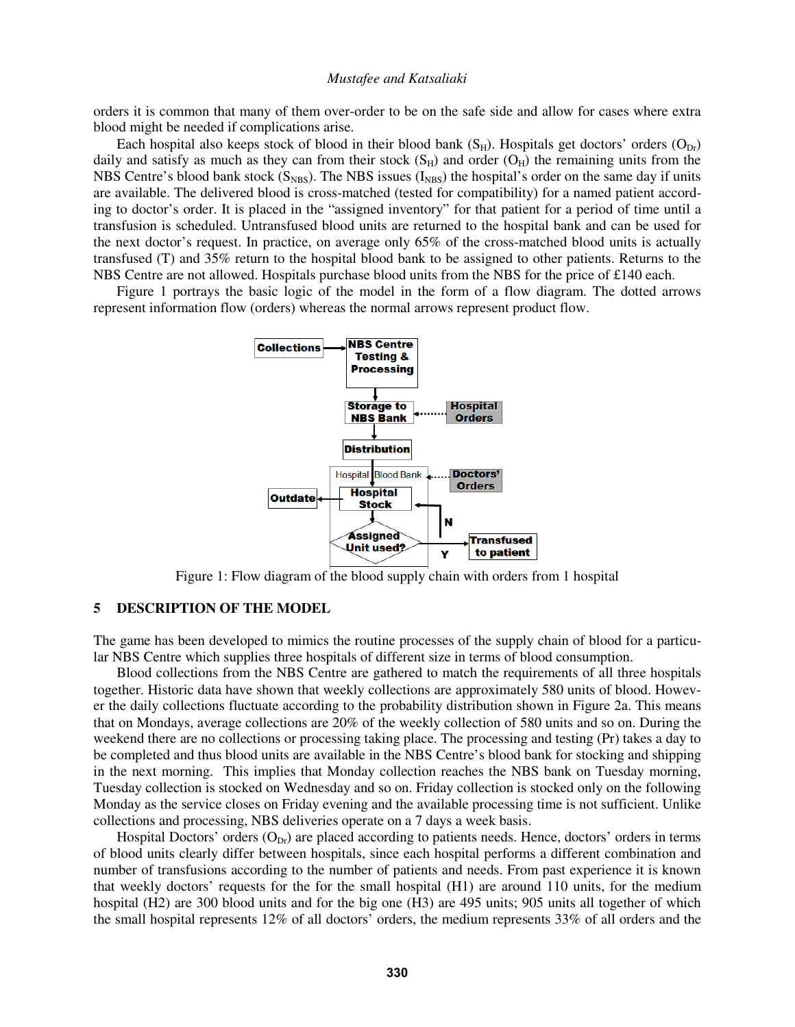orders it is common that many of them over-order to be on the safe side and allow for cases where extra blood might be needed if complications arise.

Each hospital also keeps stock of blood in their blood bank  $(S_H)$ . Hospitals get doctors' orders  $(O_{Dr})$ daily and satisfy as much as they can from their stock  $(S_H)$  and order  $(O_H)$  the remaining units from the NBS Centre's blood bank stock  $(S_{NBS})$ . The NBS issues  $(I_{NBS})$  the hospital's order on the same day if units are available. The delivered blood is cross-matched (tested for compatibility) for a named patient according to doctor's order. It is placed in the "assigned inventory" for that patient for a period of time until a transfusion is scheduled. Untransfused blood units are returned to the hospital bank and can be used for the next doctor's request. In practice, on average only 65% of the cross-matched blood units is actually transfused (T) and 35% return to the hospital blood bank to be assigned to other patients. Returns to the NBS Centre are not allowed. Hospitals purchase blood units from the NBS for the price of £140 each.

 Figure 1 portrays the basic logic of the model in the form of a flow diagram. The dotted arrows represent information flow (orders) whereas the normal arrows represent product flow.



Figure 1: Flow diagram of the blood supply chain with orders from 1 hospital

#### **5 DESCRIPTION OF THE MODEL**

The game has been developed to mimics the routine processes of the supply chain of blood for a particular NBS Centre which supplies three hospitals of different size in terms of blood consumption.

 Blood collections from the NBS Centre are gathered to match the requirements of all three hospitals together. Historic data have shown that weekly collections are approximately 580 units of blood. However the daily collections fluctuate according to the probability distribution shown in Figure 2a. This means that on Mondays, average collections are 20% of the weekly collection of 580 units and so on. During the weekend there are no collections or processing taking place. The processing and testing (Pr) takes a day to be completed and thus blood units are available in the NBS Centre's blood bank for stocking and shipping in the next morning. This implies that Monday collection reaches the NBS bank on Tuesday morning, Tuesday collection is stocked on Wednesday and so on. Friday collection is stocked only on the following Monday as the service closes on Friday evening and the available processing time is not sufficient. Unlike collections and processing, NBS deliveries operate on a 7 days a week basis.

Hospital Doctors' orders  $(O_{Dr})$  are placed according to patients needs. Hence, doctors' orders in terms of blood units clearly differ between hospitals, since each hospital performs a different combination and number of transfusions according to the number of patients and needs. From past experience it is known that weekly doctors' requests for the for the small hospital (H1) are around 110 units, for the medium hospital (H2) are 300 blood units and for the big one (H3) are 495 units; 905 units all together of which the small hospital represents 12% of all doctors' orders, the medium represents 33% of all orders and the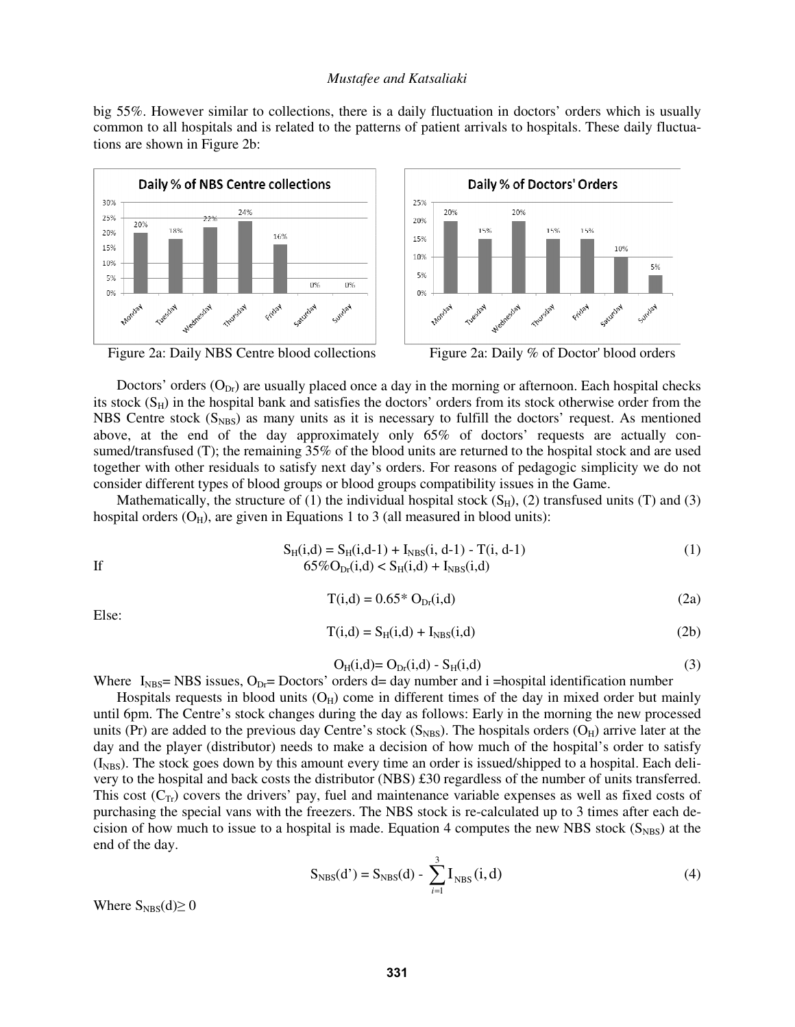big 55%. However similar to collections, there is a daily fluctuation in doctors' orders which is usually common to all hospitals and is related to the patterns of patient arrivals to hospitals. These daily fluctuations are shown in Figure 2b:





Figure 2a: Daily NBS Centre blood collections Figure 2a: Daily % of Doctor' blood orders



Doctors' orders  $(O_{Dr})$  are usually placed once a day in the morning or afternoon. Each hospital checks its stock  $(S_H)$  in the hospital bank and satisfies the doctors' orders from its stock otherwise order from the NBS Centre stock  $(S_{NBS})$  as many units as it is necessary to fulfill the doctors' request. As mentioned above, at the end of the day approximately only 65% of doctors' requests are actually consumed/transfused (T); the remaining 35% of the blood units are returned to the hospital stock and are used together with other residuals to satisfy next day's orders. For reasons of pedagogic simplicity we do not consider different types of blood groups or blood groups compatibility issues in the Game.

Mathematically, the structure of (1) the individual hospital stock  $(S_H)$ , (2) transfused units (T) and (3) hospital orders  $(O_H)$ , are given in Equations 1 to 3 (all measured in blood units):

If 
$$
S_H(i,d) = S_H(i,d-1) + I_{NBS}(i, d-1) - T(i, d-1)
$$

$$
65\%O_{Dr}(i,d) < S_H(i,d) + I_{NBS}(i,d)
$$
 (1)

Else:

$$
T(i,d) = 0.65^* O_{Dr}(i,d)
$$
 (2a)

$$
T(i,d) = S_H(i,d) + I_{NBS}(i,d)
$$
\n(2b)

$$
O_H(i,d) = O_{Dr}(i,d) - S_H(i,d)
$$
 (3)

Where  $I_{NBS}$  NBS issues, O<sub>Dr</sub>= Doctors' orders d= day number and i =hospital identification number

Hospitals requests in blood units  $(O_H)$  come in different times of the day in mixed order but mainly until 6pm. The Centre's stock changes during the day as follows: Early in the morning the new processed units (Pr) are added to the previous day Centre's stock ( $S_{NBS}$ ). The hospitals orders ( $O_H$ ) arrive later at the day and the player (distributor) needs to make a decision of how much of the hospital's order to satisfy  $(I<sub>NBS</sub>)$ . The stock goes down by this amount every time an order is issued/shipped to a hospital. Each delivery to the hospital and back costs the distributor (NBS) £30 regardless of the number of units transferred. This cost  $(C_{Tr})$  covers the drivers' pay, fuel and maintenance variable expenses as well as fixed costs of purchasing the special vans with the freezers. The NBS stock is re-calculated up to 3 times after each decision of how much to issue to a hospital is made. Equation 4 computes the new NBS stock  $(S_{NBS})$  at the end of the day.

$$
S_{NBS}(d') = S_{NBS}(d) - \sum_{i=1}^{3} I_{NBS}(i, d)
$$
 (4)

Where  $S_{NBS}(d) \geq 0$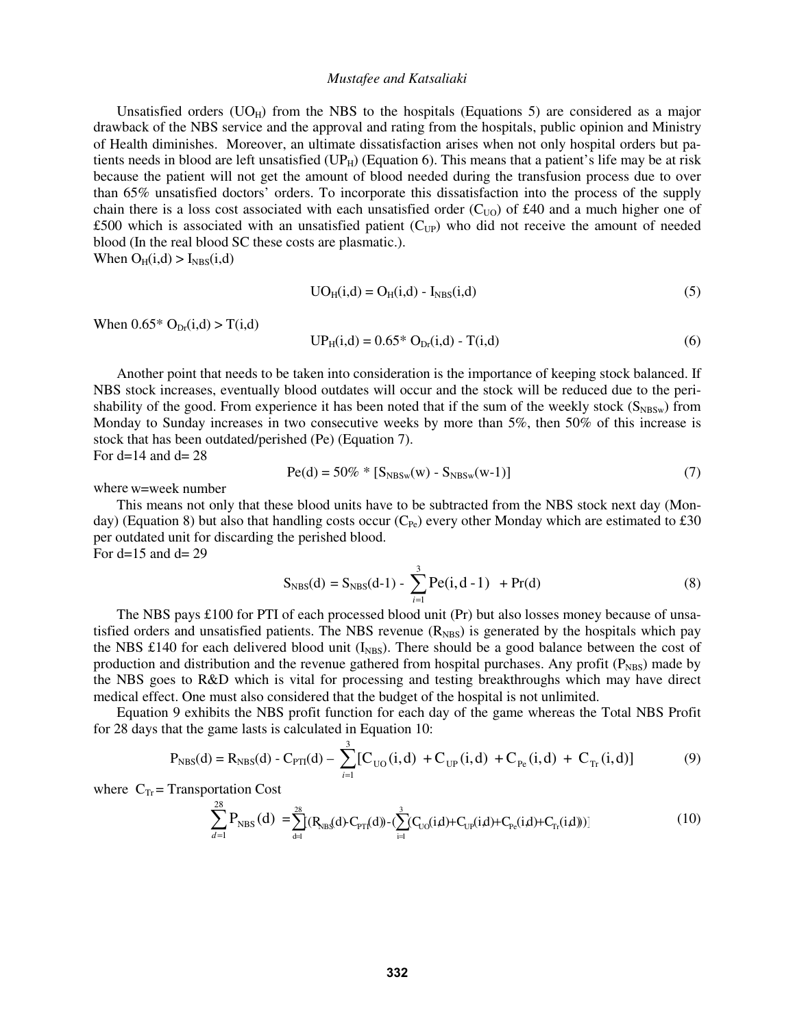Unsatisfied orders  $(UO_H)$  from the NBS to the hospitals (Equations 5) are considered as a major drawback of the NBS service and the approval and rating from the hospitals, public opinion and Ministry of Health diminishes. Moreover, an ultimate dissatisfaction arises when not only hospital orders but patients needs in blood are left unsatisfied (UP $_{\rm H}$ ) (Equation 6). This means that a patient's life may be at risk because the patient will not get the amount of blood needed during the transfusion process due to over than 65% unsatisfied doctors' orders. To incorporate this dissatisfaction into the process of the supply chain there is a loss cost associated with each unsatisfied order  $(C<sub>U</sub>)$  of £40 and a much higher one of £500 which is associated with an unsatisfied patient ( $C_{UP}$ ) who did not receive the amount of needed blood (In the real blood SC these costs are plasmatic.).

When  $O_H(i,d) > I_{NBS}(i,d)$ 

$$
UO_H(i,d) = O_H(i,d) - I_{NBS}(i,d)
$$
 (5)

When  $0.65^*$  O<sub>Dr</sub>(i,d) > T(i,d)

$$
UP_{H}(i,d) = 0.65^* O_{Dr}(i,d) - T(i,d)
$$
 (6)

 Another point that needs to be taken into consideration is the importance of keeping stock balanced. If NBS stock increases, eventually blood outdates will occur and the stock will be reduced due to the perishability of the good. From experience it has been noted that if the sum of the weekly stock  $(S_{NBSw})$  from Monday to Sunday increases in two consecutive weeks by more than 5%, then 50% of this increase is stock that has been outdated/perished (Pe) (Equation 7). For  $d=14$  and  $d=28$ 

$$
Pe(d) = 50\% * [S_{NBSw}(w) - S_{NBSw}(w-1)]
$$
 (7)

where w=week number

 This means not only that these blood units have to be subtracted from the NBS stock next day (Monday) (Equation 8) but also that handling costs occur ( $C_{\text{Pe}}$ ) every other Monday which are estimated to £30 per outdated unit for discarding the perished blood. For  $d=15$  and  $d=29$ 

$$
S_{NBS}(d) = S_{NBS}(d-1) - \sum_{i=1}^{3} Pe(i, d-1) + Pr(d)
$$
 (8)

 The NBS pays £100 for PTI of each processed blood unit (Pr) but also losses money because of unsatisfied orders and unsatisfied patients. The NBS revenue  $(R_{NBS})$  is generated by the hospitals which pay the NBS £140 for each delivered blood unit  $(I_{NBS})$ . There should be a good balance between the cost of production and distribution and the revenue gathered from hospital purchases. Any profit ( $P_{NBS}$ ) made by the NBS goes to R&D which is vital for processing and testing breakthroughs which may have direct medical effect. One must also considered that the budget of the hospital is not unlimited.

 Equation 9 exhibits the NBS profit function for each day of the game whereas the Total NBS Profit for 28 days that the game lasts is calculated in Equation 10:

$$
P_{NBS}(d) = R_{NBS}(d) - C_{PTI}(d) - \sum_{i=1}^{3} [C_{UO}(i,d) + C_{UP}(i,d) + C_{Pe}(i,d) + C_{Tr}(i,d)] \tag{9}
$$

where  $C_{Tr}$  = Transportation Cost

$$
\sum_{d=1}^{28} P_{NBS}(d) = \sum_{d=1}^{28} (R_{NBS}(d) - C_{PTI}(d)) - (\sum_{i=1}^{3} (C_{U0}(i,d) + C_{UP}(i,d)) + C_{Pe}(i,d) + C_{Tr}(i,d)))
$$
\n(10)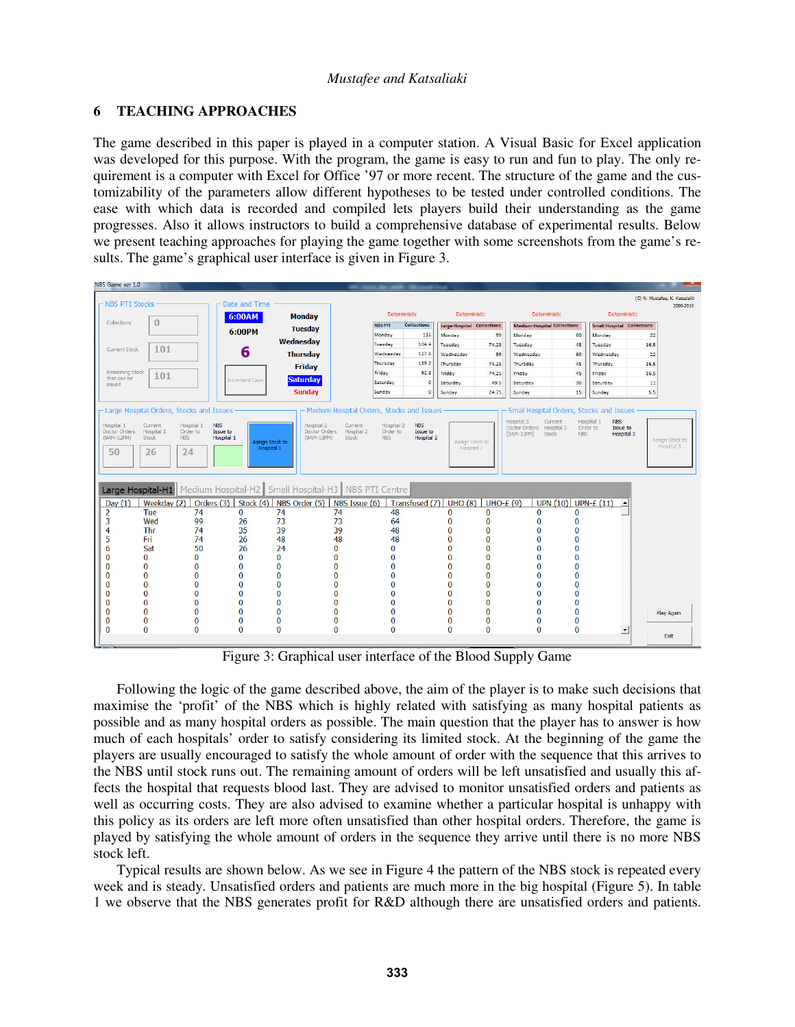# **6 TEACHING APPROACHES**

The game described in this paper is played in a computer station. A Visual Basic for Excel application was developed for this purpose. With the program, the game is easy to run and fun to play. The only requirement is a computer with Excel for Office '97 or more recent. The structure of the game and the customizability of the parameters allow different hypotheses to be tested under controlled conditions. The ease with which data is recorded and compiled lets players build their understanding as the game progresses. Also it allows instructors to build a comprehensive database of experimental results. Below we present teaching approaches for playing the game together with some screenshots from the game's results. The game's graphical user interface is given in Figure 3.



Figure 3: Graphical user interface of the Blood Supply Game

 Following the logic of the game described above, the aim of the player is to make such decisions that maximise the 'profit' of the NBS which is highly related with satisfying as many hospital patients as possible and as many hospital orders as possible. The main question that the player has to answer is how much of each hospitals' order to satisfy considering its limited stock. At the beginning of the game the players are usually encouraged to satisfy the whole amount of order with the sequence that this arrives to the NBS until stock runs out. The remaining amount of orders will be left unsatisfied and usually this affects the hospital that requests blood last. They are advised to monitor unsatisfied orders and patients as well as occurring costs. They are also advised to examine whether a particular hospital is unhappy with this policy as its orders are left more often unsatisfied than other hospital orders. Therefore, the game is played by satisfying the whole amount of orders in the sequence they arrive until there is no more NBS stock left.

 Typical results are shown below. As we see in Figure 4 the pattern of the NBS stock is repeated every week and is steady. Unsatisfied orders and patients are much more in the big hospital (Figure 5). In table 1 we observe that the NBS generates profit for R&D although there are unsatisfied orders and patients.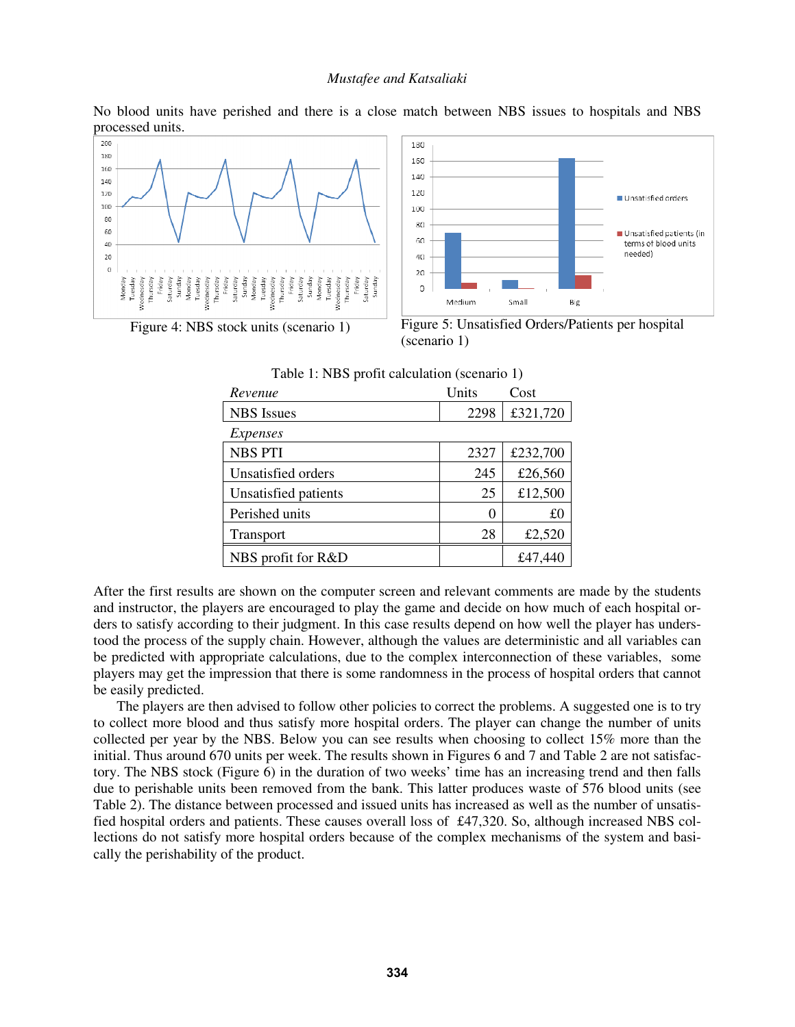No blood units have perished and there is a close match between NBS issues to hospitals and NBS





Figure 4: NBS stock units (scenario 1) Figure 5: Unsatisfied Orders/Patients per hospital (scenario 1)

| Revenue              | Units | Cost        |
|----------------------|-------|-------------|
| <b>NBS</b> Issues    | 2298  | £321,720    |
| <i>Expenses</i>      |       |             |
| <b>NBS PTI</b>       | 2327  | £232,700    |
| Unsatisfied orders   | 245   | £26,560     |
| Unsatisfied patients | 25    | £12,500     |
| Perished units       | 0     | $_{\rm f0}$ |
| <b>Transport</b>     | 28    | £2,520      |
| NBS profit for R&D   |       | £47,440     |

Table 1: NBS profit calculation (scenario 1)

After the first results are shown on the computer screen and relevant comments are made by the students and instructor, the players are encouraged to play the game and decide on how much of each hospital orders to satisfy according to their judgment. In this case results depend on how well the player has understood the process of the supply chain. However, although the values are deterministic and all variables can be predicted with appropriate calculations, due to the complex interconnection of these variables, some players may get the impression that there is some randomness in the process of hospital orders that cannot be easily predicted.

 The players are then advised to follow other policies to correct the problems. A suggested one is to try to collect more blood and thus satisfy more hospital orders. The player can change the number of units collected per year by the NBS. Below you can see results when choosing to collect 15% more than the initial. Thus around 670 units per week. The results shown in Figures 6 and 7 and Table 2 are not satisfactory. The NBS stock (Figure 6) in the duration of two weeks' time has an increasing trend and then falls due to perishable units been removed from the bank. This latter produces waste of 576 blood units (see Table 2). The distance between processed and issued units has increased as well as the number of unsatisfied hospital orders and patients. These causes overall loss of £47,320. So, although increased NBS collections do not satisfy more hospital orders because of the complex mechanisms of the system and basically the perishability of the product.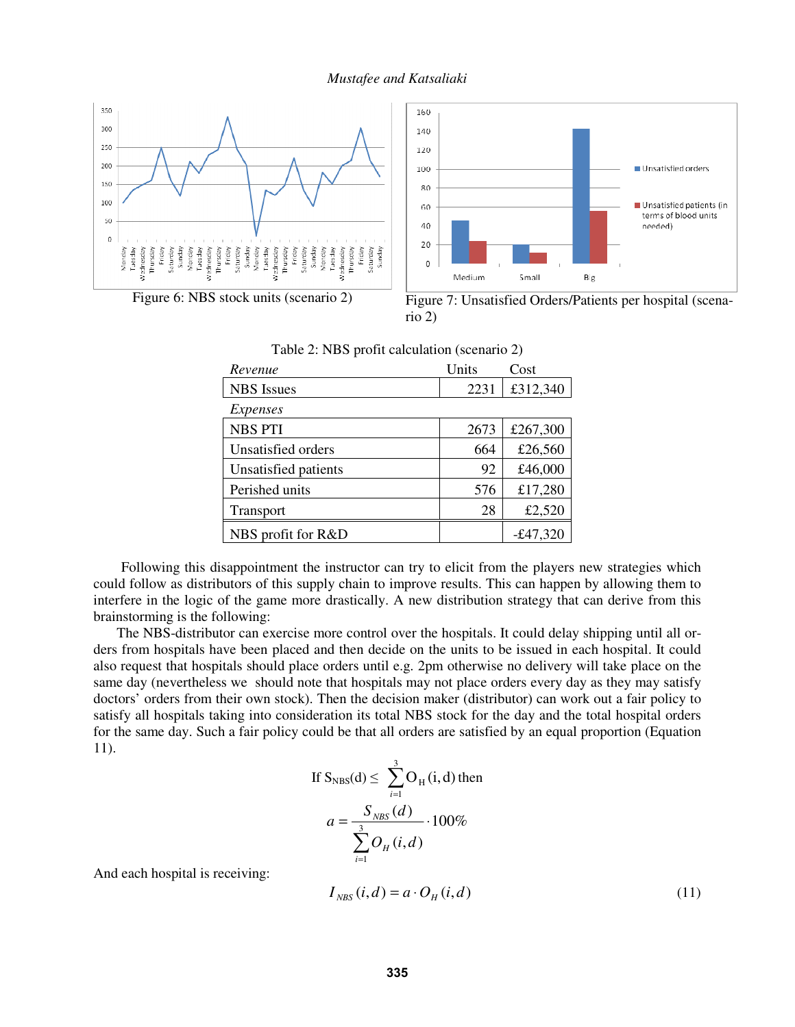



Figure 6: NBS stock units (scenario 2) Figure 7: Unsatisfied Orders/Patients per hospital (scenario 2)

| Revenue              | Units | Cost       |
|----------------------|-------|------------|
| <b>NBS</b> Issues    | 2231  | £312,340   |
| <i>Expenses</i>      |       |            |
| <b>NBS PTI</b>       | 2673  | £267,300   |
| Unsatisfied orders   | 664   | £26,560    |
| Unsatisfied patients | 92    | £46,000    |
| Perished units       | 576   | £17,280    |
| <b>Transport</b>     | 28    | £2,520     |
| NBS profit for R&D   |       | $-£47,320$ |

Table 2: NBS profit calculation (scenario 2)

Following this disappointment the instructor can try to elicit from the players new strategies which could follow as distributors of this supply chain to improve results. This can happen by allowing them to interfere in the logic of the game more drastically. A new distribution strategy that can derive from this brainstorming is the following:

 The NBS-distributor can exercise more control over the hospitals. It could delay shipping until all orders from hospitals have been placed and then decide on the units to be issued in each hospital. It could also request that hospitals should place orders until e.g. 2pm otherwise no delivery will take place on the same day (nevertheless we should note that hospitals may not place orders every day as they may satisfy doctors' orders from their own stock). Then the decision maker (distributor) can work out a fair policy to satisfy all hospitals taking into consideration its total NBS stock for the day and the total hospital orders for the same day. Such a fair policy could be that all orders are satisfied by an equal proportion (Equation 11).

If S<sub>NBS</sub>(d) 
$$
\leq \sum_{i=1}^{3} O_H(i, d)
$$
 then  
\n
$$
a = \frac{S_{NBS}(d)}{\sum_{i=1}^{3} O_H(i, d)} \cdot 100\%
$$
\n
$$
I_{NBS}(i, d) = a \cdot O_H(i, d)
$$
\n(11)

And each hospital is receiving: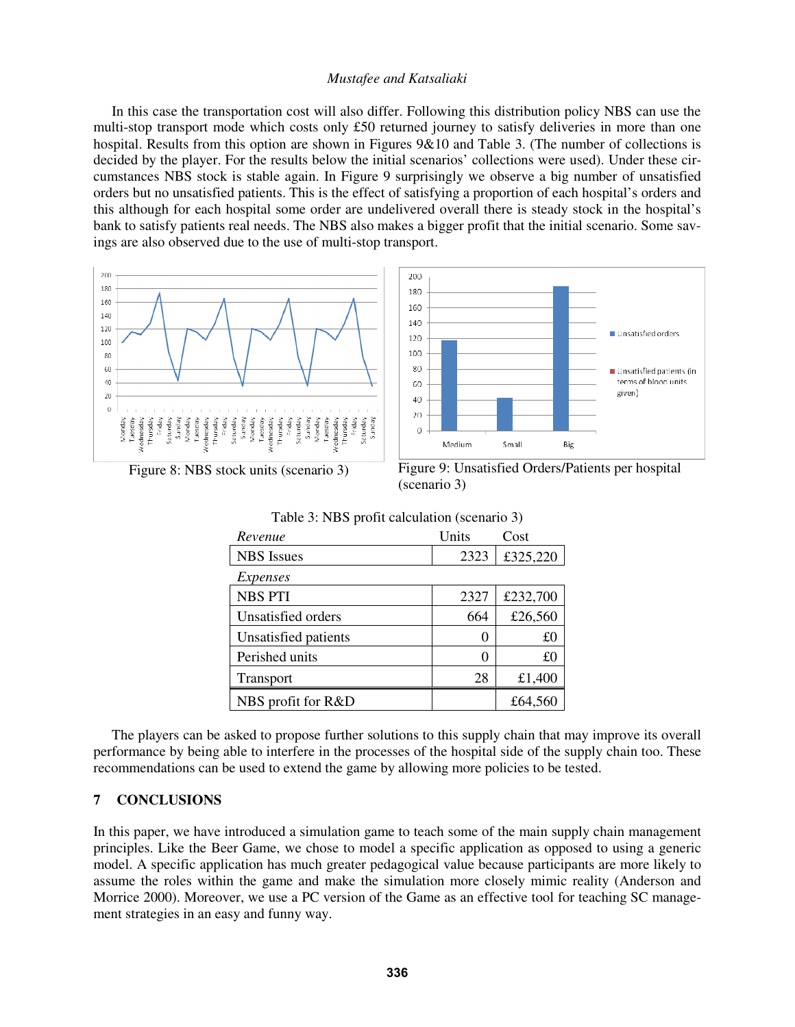In this case the transportation cost will also differ. Following this distribution policy NBS can use the multi-stop transport mode which costs only £50 returned journey to satisfy deliveries in more than one hospital. Results from this option are shown in Figures 9&10 and Table 3. (The number of collections is decided by the player. For the results below the initial scenarios' collections were used). Under these circumstances NBS stock is stable again. In Figure 9 surprisingly we observe a big number of unsatisfied orders but no unsatisfied patients. This is the effect of satisfying a proportion of each hospital's orders and this although for each hospital some order are undelivered overall there is steady stock in the hospital's bank to satisfy patients real needs. The NBS also makes a bigger profit that the initial scenario. Some savings are also observed due to the use of multi-stop transport.



![](_page_9_Figure_3.jpeg)

Figure 8: NBS stock units (scenario 3) Figure 9: Unsatisfied Orders/Patients per hospital (scenario 3)

| Revenue              | Units | Cost     |
|----------------------|-------|----------|
| <b>NBS</b> Issues    | 2323  | £325,220 |
| Expenses             |       |          |
| <b>NBS PTI</b>       | 2327  | £232,700 |
| Unsatisfied orders   | 664   | £26,560  |
| Unsatisfied patients |       | £0       |
| Perished units       |       | £0       |
| Transport            | 28    | £1,400   |
| NBS profit for R&D   |       | £64,560  |

Table 3: NBS profit calculation (scenario 3)

The players can be asked to propose further solutions to this supply chain that may improve its overall performance by being able to interfere in the processes of the hospital side of the supply chain too. These recommendations can be used to extend the game by allowing more policies to be tested.

## **7 CONCLUSIONS**

In this paper, we have introduced a simulation game to teach some of the main supply chain management principles. Like the Beer Game, we chose to model a specific application as opposed to using a generic model. A specific application has much greater pedagogical value because participants are more likely to assume the roles within the game and make the simulation more closely mimic reality (Anderson and Morrice 2000). Moreover, we use a PC version of the Game as an effective tool for teaching SC management strategies in an easy and funny way.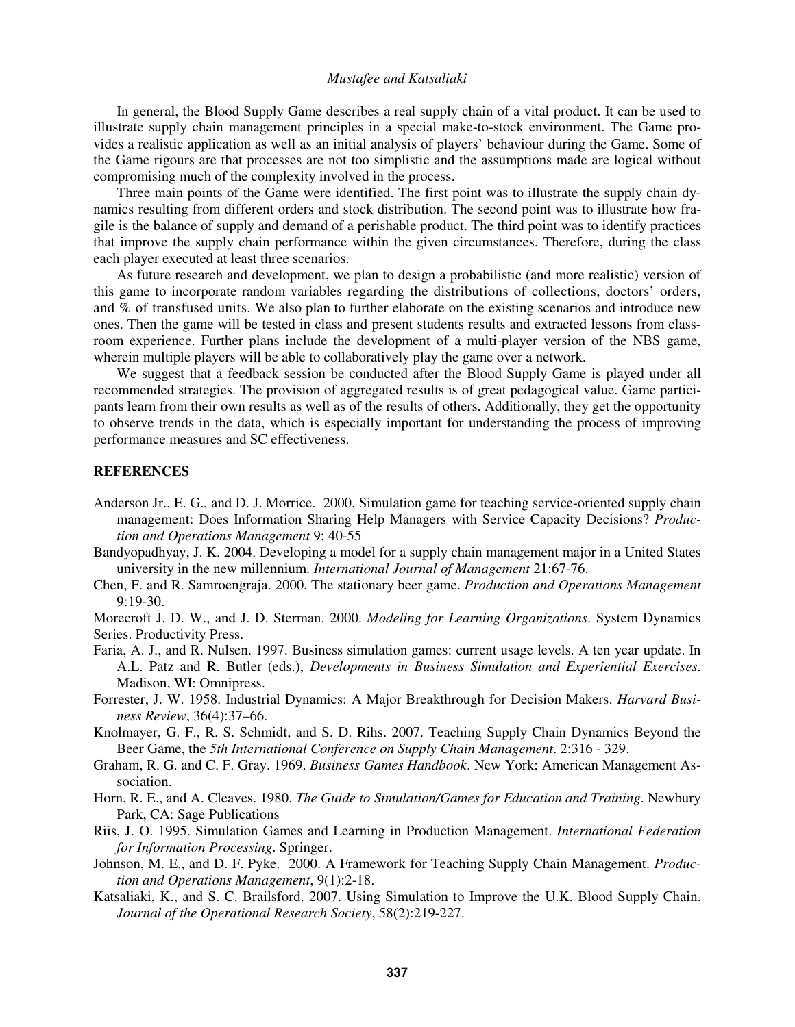In general, the Blood Supply Game describes a real supply chain of a vital product. It can be used to illustrate supply chain management principles in a special make-to-stock environment. The Game provides a realistic application as well as an initial analysis of players' behaviour during the Game. Some of the Game rigours are that processes are not too simplistic and the assumptions made are logical without compromising much of the complexity involved in the process.

 Three main points of the Game were identified. The first point was to illustrate the supply chain dynamics resulting from different orders and stock distribution. The second point was to illustrate how fragile is the balance of supply and demand of a perishable product. The third point was to identify practices that improve the supply chain performance within the given circumstances. Therefore, during the class each player executed at least three scenarios.

 As future research and development, we plan to design a probabilistic (and more realistic) version of this game to incorporate random variables regarding the distributions of collections, doctors' orders, and % of transfused units. We also plan to further elaborate on the existing scenarios and introduce new ones. Then the game will be tested in class and present students results and extracted lessons from classroom experience. Further plans include the development of a multi-player version of the NBS game, wherein multiple players will be able to collaboratively play the game over a network.

 We suggest that a feedback session be conducted after the Blood Supply Game is played under all recommended strategies. The provision of aggregated results is of great pedagogical value. Game participants learn from their own results as well as of the results of others. Additionally, they get the opportunity to observe trends in the data, which is especially important for understanding the process of improving performance measures and SC effectiveness.

## **REFERENCES**

Anderson Jr., E. G., and D. J. Morrice. 2000. Simulation game for teaching service-oriented supply chain management: Does Information Sharing Help Managers with Service Capacity Decisions? *Production and Operations Management* 9: 40-55

Bandyopadhyay, J. K. 2004. Developing a model for a supply chain management major in a United States university in the new millennium. *International Journal of Management* 21:67-76.

Chen, F. and R. Samroengraja. 2000. The stationary beer game. *Production and Operations Management* 9:19-30.

Morecroft J. D. W., and J. D. Sterman. 2000. *Modeling for Learning Organizations*. System Dynamics Series. Productivity Press.

- Faria, A. J., and R. Nulsen. 1997. Business simulation games: current usage levels. A ten year update. In A.L. Patz and R. Butler (eds.), *Developments in Business Simulation and Experiential Exercises*. Madison, WI: Omnipress.
- Forrester, J. W. 1958. Industrial Dynamics: A Major Breakthrough for Decision Makers. *Harvard Business Review*, 36(4):37–66.

Knolmayer, G. F., R. S. Schmidt, and S. D. Rihs. 2007. Teaching Supply Chain Dynamics Beyond the Beer Game, the *5th International Conference on Supply Chain Management*. 2:316 - 329.

- Graham, R. G. and C. F. Gray. 1969. *Business Games Handbook*. New York: American Management Association.
- Horn, R. E., and A. Cleaves. 1980. *The Guide to Simulation/Games for Education and Training*. Newbury Park, CA: Sage Publications
- Riis, J. O. 1995. Simulation Games and Learning in Production Management. *International Federation for Information Processing*. Springer.
- Johnson, M. E., and D. F. Pyke. 2000. A Framework for Teaching Supply Chain Management. *Production and Operations Management*, 9(1):2-18.
- Katsaliaki, K., and S. C. Brailsford. 2007. Using Simulation to Improve the U.K. Blood Supply Chain. *Journal of the Operational Research Society*, 58(2):219-227.